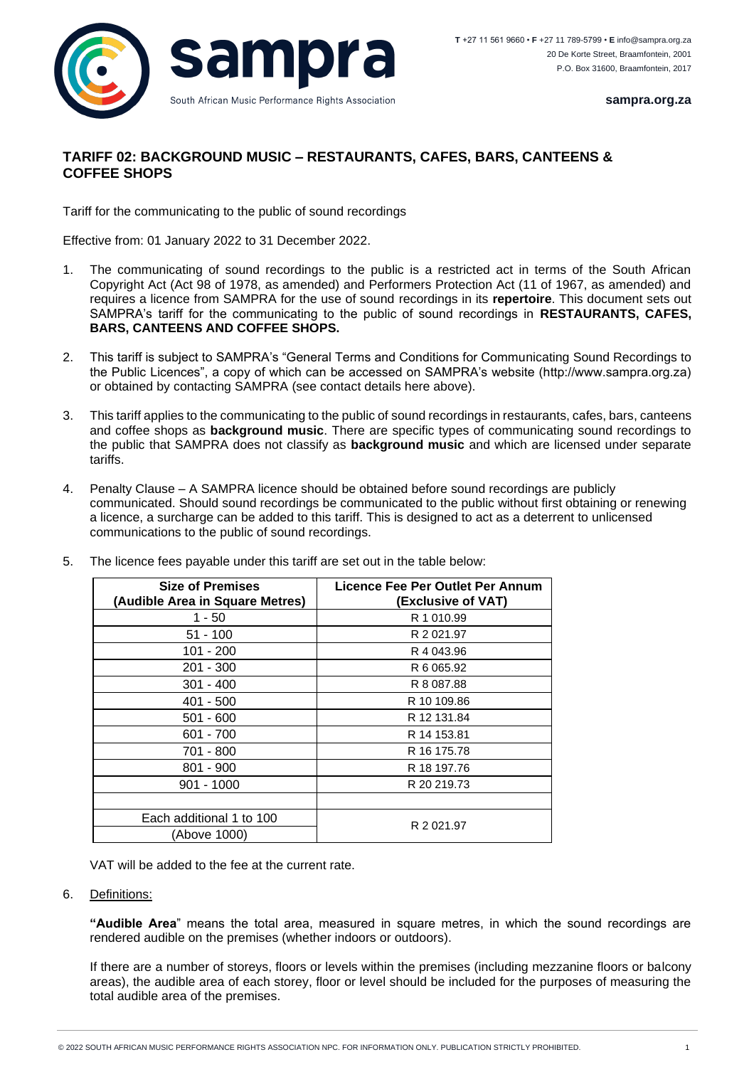

**sampra.org.za**

## **TARIFF 02: BACKGROUND MUSIC – RESTAURANTS, CAFES, BARS, CANTEENS & COFFEE SHOPS**

Tariff for the communicating to the public of sound recordings

Effective from: 01 January 2022 to 31 December 2022.

- 1. The communicating of sound recordings to the public is a restricted act in terms of the South African Copyright Act (Act 98 of 1978, as amended) and Performers Protection Act (11 of 1967, as amended) and requires a licence from SAMPRA for the use of sound recordings in its **repertoire**. This document sets out SAMPRA's tariff for the communicating to the public of sound recordings in **RESTAURANTS, CAFES, BARS, CANTEENS AND COFFEE SHOPS.**
- 2. This tariff is subject to SAMPRA's "General Terms and Conditions for Communicating Sound Recordings to the Public Licences", a copy of which can be accessed on SAMPRA's website (http://www.sampra.org.za) or obtained by contacting SAMPRA (see contact details here above).
- 3. This tariff applies to the communicating to the public of sound recordings in restaurants, cafes, bars, canteens and coffee shops as **background music**. There are specific types of communicating sound recordings to the public that SAMPRA does not classify as **background music** and which are licensed under separate tariffs.
- 4. Penalty Clause A SAMPRA licence should be obtained before sound recordings are publicly communicated. Should sound recordings be communicated to the public without first obtaining or renewing a licence, a surcharge can be added to this tariff. This is designed to act as a deterrent to unlicensed communications to the public of sound recordings.

| <b>Size of Premises</b><br>(Audible Area in Square Metres) | <b>Licence Fee Per Outlet Per Annum</b><br>(Exclusive of VAT) |
|------------------------------------------------------------|---------------------------------------------------------------|
| 1 - 50                                                     | R 1 010.99                                                    |
| $51 - 100$                                                 | R 2 021.97                                                    |
| $101 - 200$                                                | R 4 043.96                                                    |
| 201 - 300                                                  | R 6 065.92                                                    |
| $301 - 400$                                                | R 8 087.88                                                    |
| 401 - 500                                                  | R 10 109.86                                                   |
| $501 - 600$                                                | R 12 131.84                                                   |
| $601 - 700$                                                | R 14 153.81                                                   |
| 701 - 800                                                  | R 16 175.78                                                   |
| $801 - 900$                                                | R 18 197.76                                                   |
| $901 - 1000$                                               | R 20 219.73                                                   |
|                                                            |                                                               |
| Each additional 1 to 100                                   | R 2 021.97                                                    |
| (Above 1000)                                               |                                                               |

5. The licence fees payable under this tariff are set out in the table below:

VAT will be added to the fee at the current rate.

6. Definitions:

**"Audible Area**" means the total area, measured in square metres, in which the sound recordings are rendered audible on the premises (whether indoors or outdoors).

If there are a number of storeys, floors or levels within the premises (including mezzanine floors or balcony areas), the audible area of each storey, floor or level should be included for the purposes of measuring the total audible area of the premises.